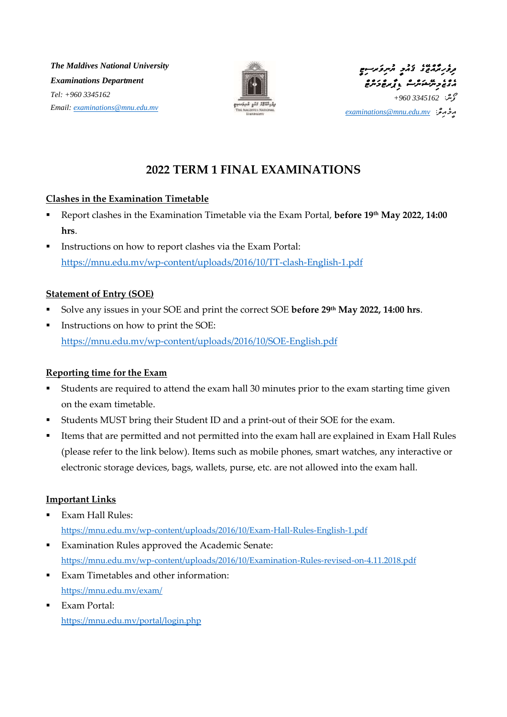*The Maldives National University Examinations Department Tel: +960 3345162 Email: [examinations@mnu.edu.mv](mailto:examinations@mnu.edu.mv)*





*އީމެއިލ:ް [mv.edu.mnu@examinations](mailto:examinations@mnu.edu.mv)*

# **2022 TERM 1 FINAL EXAMINATIONS**

### **Clashes in the Examination Timetable**

- **Report clashes in the Examination Timetable via the Exam Portal, before 19<sup>th</sup> May 2022, 14:00 hrs**.
- Instructions on how to report clashes via the Exam Portal: <https://mnu.edu.mv/wp-content/uploads/2016/10/TT-clash-English-1.pdf>

### **Statement of Entry (SOE)**

- Solve any issues in your SOE and print the correct SOE **before 29th May 2022, 14:00 hrs**.
- Instructions on how to print the SOE: <https://mnu.edu.mv/wp-content/uploads/2016/10/SOE-English.pdf>

#### **Reporting time for the Exam**

- Students are required to attend the exam hall 30 minutes prior to the exam starting time given on the exam timetable.
- Students MUST bring their Student ID and a print-out of their SOE for the exam.
- Items that are permitted and not permitted into the exam hall are explained in Exam Hall Rules (please refer to the link below). Items such as mobile phones, smart watches, any interactive or electronic storage devices, bags, wallets, purse, etc. are not allowed into the exam hall.

### **Important Links**

- Exam Hall Rules: <https://mnu.edu.mv/wp-content/uploads/2016/10/Exam-Hall-Rules-English-1.pdf>
- Examination Rules approved the Academic Senate: <https://mnu.edu.mv/wp-content/uploads/2016/10/Examination-Rules-revised-on-4.11.2018.pdf>
- Exam Timetables and other information: <https://mnu.edu.mv/exam/>
- **Exam Portal:** <https://mnu.edu.mv/portal/login.php>